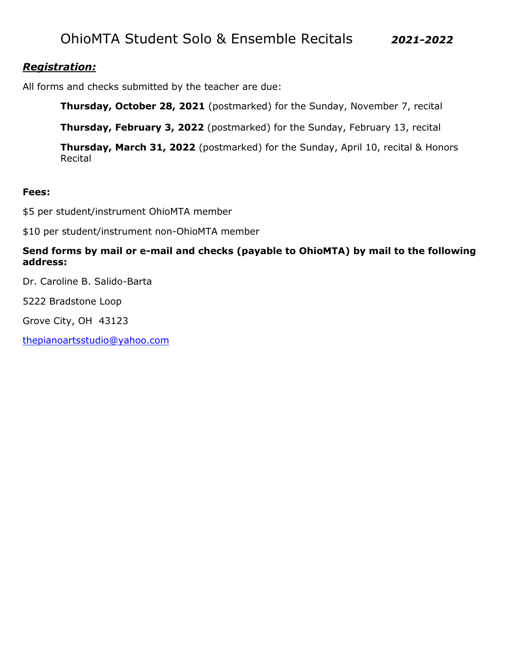# OhioMTA Student Solo & Ensemble Recitals *2021-2022*

#### *Registration:*

All forms and checks submitted by the teacher are due:

**Thursday, October 28, 2021** (postmarked) for the Sunday, November 7, recital

**Thursday, February 3, 2022** (postmarked) for the Sunday, February 13, recital

**Thursday, March 31, 2022** (postmarked) for the Sunday, April 10, recital & Honors Recital

#### **Fees:**

\$5 per student/instrument OhioMTA member

\$10 per student/instrument non-OhioMTA member

#### **Send forms by mail or e-mail and checks (payable to OhioMTA) by mail to the following address:**

Dr. Caroline B. Salido-Barta

5222 Bradstone Loop

Grove City, OH 43123

[thepianoartsstudio@yahoo.com](mailto:thepianoartsstudio@yahoo.com)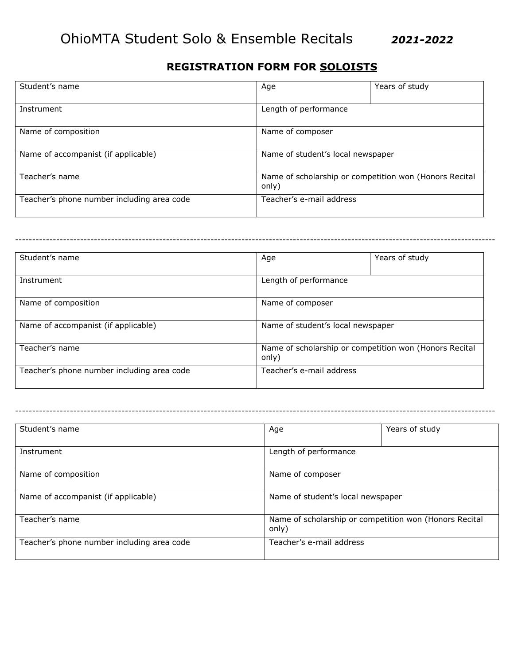## **REGISTRATION FORM FOR SOLOISTS**

| Student's name                             | Age                                                             | Years of study |
|--------------------------------------------|-----------------------------------------------------------------|----------------|
| Instrument                                 | Length of performance                                           |                |
| Name of composition                        | Name of composer                                                |                |
| Name of accompanist (if applicable)        | Name of student's local newspaper                               |                |
| Teacher's name                             | Name of scholarship or competition won (Honors Recital<br>only) |                |
| Teacher's phone number including area code | Teacher's e-mail address                                        |                |

| Student's name                             | Age   | Years of study                                         |  |
|--------------------------------------------|-------|--------------------------------------------------------|--|
| Instrument                                 |       | Length of performance                                  |  |
| Name of composition                        |       | Name of composer                                       |  |
| Name of accompanist (if applicable)        |       | Name of student's local newspaper                      |  |
| Teacher's name                             | only) | Name of scholarship or competition won (Honors Recital |  |
| Teacher's phone number including area code |       | Teacher's e-mail address                               |  |

--------------------------------------------------------------------------------------------------------------------------------------------

|                                                        | Years of study |
|--------------------------------------------------------|----------------|
|                                                        |                |
| Length of performance                                  |                |
|                                                        |                |
| Name of composer                                       |                |
|                                                        |                |
| Name of student's local newspaper                      |                |
|                                                        |                |
| Name of scholarship or competition won (Honors Recital |                |
| only)                                                  |                |
| Teacher's e-mail address                               |                |
|                                                        |                |
|                                                        | Age            |

--------------------------------------------------------------------------------------------------------------------------------------------